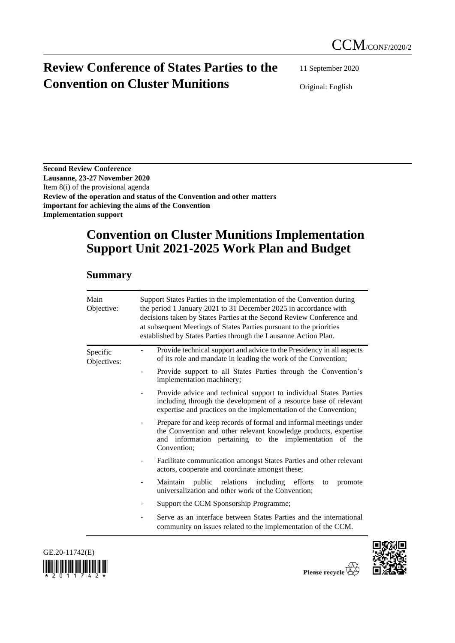# **Review Conference of States Parties to the Convention on Cluster Munitions**

11 September 2020

Original: English

**Second Review Conference Lausanne, 23-27 November 2020** Item 8(i) of the provisional agenda **Review of the operation and status of the Convention and other matters important for achieving the aims of the Convention Implementation support**

# **Convention on Cluster Munitions Implementation Support Unit 2021-2025 Work Plan and Budget**

### **Summary**

| Main<br>Objective:      | Support States Parties in the implementation of the Convention during<br>the period 1 January 2021 to 31 December 2025 in accordance with<br>decisions taken by States Parties at the Second Review Conference and<br>at subsequent Meetings of States Parties pursuant to the priorities<br>established by States Parties through the Lausanne Action Plan. |  |  |  |  |  |
|-------------------------|--------------------------------------------------------------------------------------------------------------------------------------------------------------------------------------------------------------------------------------------------------------------------------------------------------------------------------------------------------------|--|--|--|--|--|
| Specific<br>Objectives: | Provide technical support and advice to the Presidency in all aspects<br>of its role and mandate in leading the work of the Convention;                                                                                                                                                                                                                      |  |  |  |  |  |
|                         | Provide support to all States Parties through the Convention's<br>implementation machinery;                                                                                                                                                                                                                                                                  |  |  |  |  |  |
|                         | Provide advice and technical support to individual States Parties<br>including through the development of a resource base of relevant<br>expertise and practices on the implementation of the Convention;                                                                                                                                                    |  |  |  |  |  |
|                         | Prepare for and keep records of formal and informal meetings under<br>the Convention and other relevant knowledge products, expertise<br>and information pertaining to the implementation of the<br>Convention;                                                                                                                                              |  |  |  |  |  |
|                         | Facilitate communication amongst States Parties and other relevant<br>actors, cooperate and coordinate amongst these;                                                                                                                                                                                                                                        |  |  |  |  |  |
|                         | Maintain public relations including efforts<br>promote<br>to<br>universalization and other work of the Convention;                                                                                                                                                                                                                                           |  |  |  |  |  |
|                         | Support the CCM Sponsorship Programme;                                                                                                                                                                                                                                                                                                                       |  |  |  |  |  |
|                         | Serve as an interface between States Parties and the international<br>community on issues related to the implementation of the CCM.                                                                                                                                                                                                                          |  |  |  |  |  |



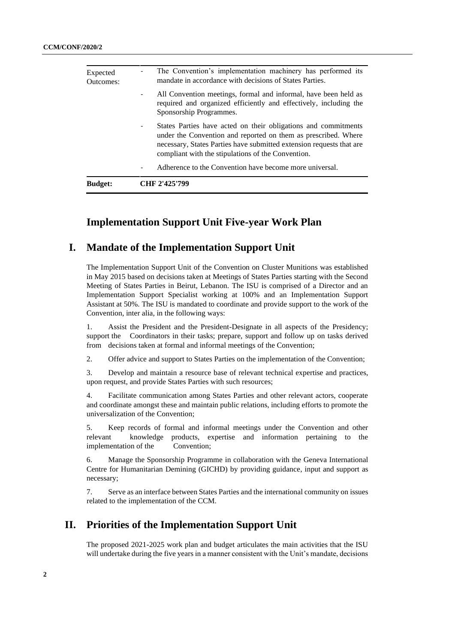| <b>Budget:</b>        | CHF 2'425'799                                                                                                                                                                                                                                                  |
|-----------------------|----------------------------------------------------------------------------------------------------------------------------------------------------------------------------------------------------------------------------------------------------------------|
|                       | Adherence to the Convention have become more universal.                                                                                                                                                                                                        |
|                       | States Parties have acted on their obligations and commitments<br>under the Convention and reported on them as prescribed. Where<br>necessary, States Parties have submitted extension requests that are<br>compliant with the stipulations of the Convention. |
|                       | All Convention meetings, formal and informal, have been held as<br>$\overline{\phantom{a}}$<br>required and organized efficiently and effectively, including the<br>Sponsorship Programmes.                                                                    |
| Expected<br>Outcomes: | The Convention's implementation machinery has performed its<br>mandate in accordance with decisions of States Parties.                                                                                                                                         |

## **Implementation Support Unit Five-year Work Plan**

### **I. Mandate of the Implementation Support Unit**

The Implementation Support Unit of the Convention on Cluster Munitions was established in May 2015 based on decisions taken at Meetings of States Parties starting with the Second Meeting of States Parties in Beirut, Lebanon. The ISU is comprised of a Director and an Implementation Support Specialist working at 100% and an Implementation Support Assistant at 50%. The ISU is mandated to coordinate and provide support to the work of the Convention, inter alia, in the following ways:

1. Assist the President and the President-Designate in all aspects of the Presidency; support the Coordinators in their tasks; prepare, support and follow up on tasks derived from decisions taken at formal and informal meetings of the Convention;

2. Offer advice and support to States Parties on the implementation of the Convention;

3. Develop and maintain a resource base of relevant technical expertise and practices, upon request, and provide States Parties with such resources;

4. Facilitate communication among States Parties and other relevant actors, cooperate and coordinate amongst these and maintain public relations, including efforts to promote the universalization of the Convention;

5. Keep records of formal and informal meetings under the Convention and other relevant knowledge products, expertise and information pertaining to the implementation of the Convention;

6. Manage the Sponsorship Programme in collaboration with the Geneva International Centre for Humanitarian Demining (GICHD) by providing guidance, input and support as necessary;

7. Serve as an interface between States Parties and the international community on issues related to the implementation of the CCM.

## **II. Priorities of the Implementation Support Unit**

The proposed 2021-2025 work plan and budget articulates the main activities that the ISU will undertake during the five years in a manner consistent with the Unit's mandate, decisions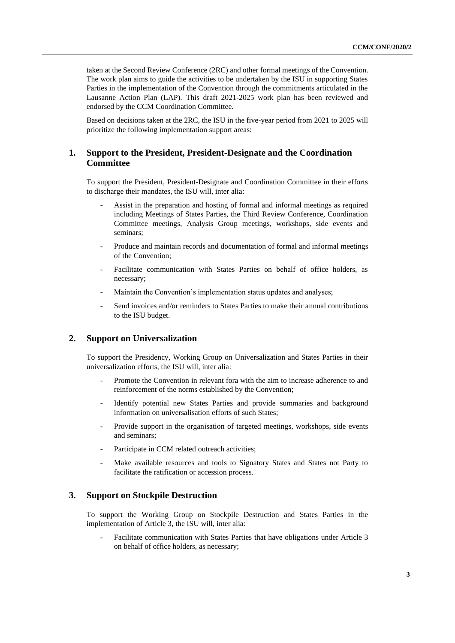taken at the Second Review Conference (2RC) and other formal meetings of the Convention. The work plan aims to guide the activities to be undertaken by the ISU in supporting States Parties in the implementation of the Convention through the commitments articulated in the Lausanne Action Plan (LAP). This draft 2021-2025 work plan has been reviewed and endorsed by the CCM Coordination Committee.

Based on decisions taken at the 2RC, the ISU in the five-year period from 2021 to 2025 will prioritize the following implementation support areas:

#### **1. Support to the President, President-Designate and the Coordination Committee**

To support the President, President-Designate and Coordination Committee in their efforts to discharge their mandates, the ISU will, inter alia:

- Assist in the preparation and hosting of formal and informal meetings as required including Meetings of States Parties, the Third Review Conference, Coordination Committee meetings, Analysis Group meetings, workshops, side events and seminars;
- Produce and maintain records and documentation of formal and informal meetings of the Convention;
- Facilitate communication with States Parties on behalf of office holders, as necessary;
- Maintain the Convention's implementation status updates and analyses;
- Send invoices and/or reminders to States Parties to make their annual contributions to the ISU budget.

#### **2. Support on Universalization**

To support the Presidency, Working Group on Universalization and States Parties in their universalization efforts, the ISU will, inter alia:

- Promote the Convention in relevant fora with the aim to increase adherence to and reinforcement of the norms established by the Convention;
- Identify potential new States Parties and provide summaries and background information on universalisation efforts of such States;
- Provide support in the organisation of targeted meetings, workshops, side events and seminars;
- Participate in CCM related outreach activities;
- Make available resources and tools to Signatory States and States not Party to facilitate the ratification or accession process.

#### **3. Support on Stockpile Destruction**

To support the Working Group on Stockpile Destruction and States Parties in the implementation of Article 3, the ISU will, inter alia:

Facilitate communication with States Parties that have obligations under Article 3 on behalf of office holders, as necessary;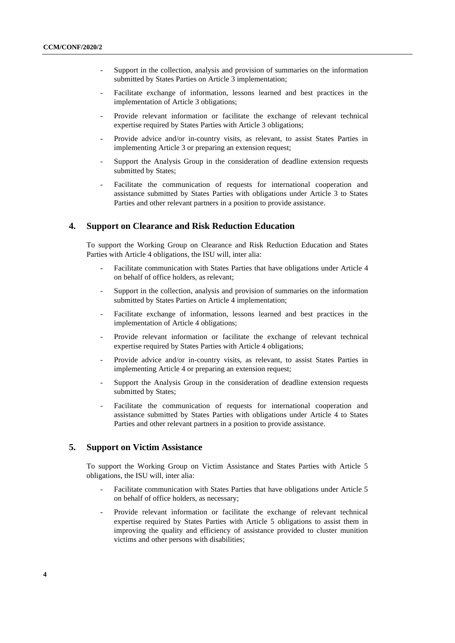- Support in the collection, analysis and provision of summaries on the information submitted by States Parties on Article 3 implementation;
- Facilitate exchange of information, lessons learned and best practices in the implementation of Article 3 obligations;
- Provide relevant information or facilitate the exchange of relevant technical expertise required by States Parties with Article 3 obligations;
- Provide advice and/or in-country visits, as relevant, to assist States Parties in implementing Article 3 or preparing an extension request;
- Support the Analysis Group in the consideration of deadline extension requests submitted by States;
- Facilitate the communication of requests for international cooperation and assistance submitted by States Parties with obligations under Article 3 to States Parties and other relevant partners in a position to provide assistance.

#### **4. Support on Clearance and Risk Reduction Education**

To support the Working Group on Clearance and Risk Reduction Education and States Parties with Article 4 obligations, the ISU will, inter alia:

- Facilitate communication with States Parties that have obligations under Article 4 on behalf of office holders, as relevant;
- Support in the collection, analysis and provision of summaries on the information submitted by States Parties on Article 4 implementation;
- Facilitate exchange of information, lessons learned and best practices in the implementation of Article 4 obligations;
- Provide relevant information or facilitate the exchange of relevant technical expertise required by States Parties with Article 4 obligations;
- Provide advice and/or in-country visits, as relevant, to assist States Parties in implementing Article 4 or preparing an extension request;
- Support the Analysis Group in the consideration of deadline extension requests submitted by States;
- Facilitate the communication of requests for international cooperation and assistance submitted by States Parties with obligations under Article 4 to States Parties and other relevant partners in a position to provide assistance.

#### **5. Support on Victim Assistance**

To support the Working Group on Victim Assistance and States Parties with Article 5 obligations, the ISU will, inter alia:

- Facilitate communication with States Parties that have obligations under Article 5 on behalf of office holders, as necessary;
- Provide relevant information or facilitate the exchange of relevant technical expertise required by States Parties with Article 5 obligations to assist them in improving the quality and efficiency of assistance provided to cluster munition victims and other persons with disabilities;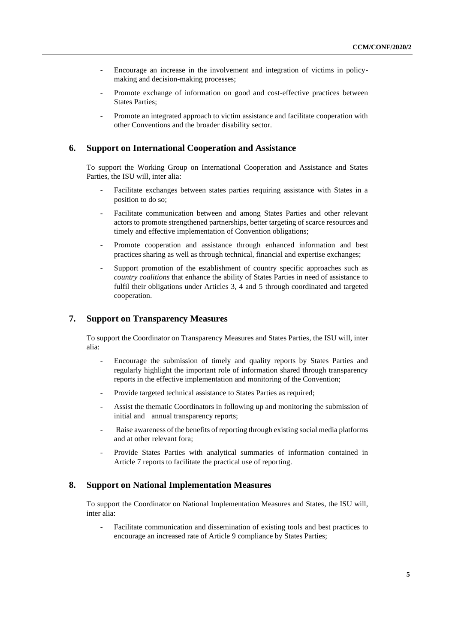- Encourage an increase in the involvement and integration of victims in policymaking and decision-making processes;
- Promote exchange of information on good and cost-effective practices between States Parties;
- Promote an integrated approach to victim assistance and facilitate cooperation with other Conventions and the broader disability sector.

#### **6. Support on International Cooperation and Assistance**

To support the Working Group on International Cooperation and Assistance and States Parties, the ISU will, inter alia:

- Facilitate exchanges between states parties requiring assistance with States in a position to do so;
- Facilitate communication between and among States Parties and other relevant actors to promote strengthened partnerships, better targeting of scarce resources and timely and effective implementation of Convention obligations;
- Promote cooperation and assistance through enhanced information and best practices sharing as well as through technical, financial and expertise exchanges;
- Support promotion of the establishment of country specific approaches such as *country coalitions* that enhance the ability of States Parties in need of assistance to fulfil their obligations under Articles 3, 4 and 5 through coordinated and targeted cooperation.

#### **7. Support on Transparency Measures**

To support the Coordinator on Transparency Measures and States Parties, the ISU will, inter alia:

- Encourage the submission of timely and quality reports by States Parties and regularly highlight the important role of information shared through transparency reports in the effective implementation and monitoring of the Convention;
- Provide targeted technical assistance to States Parties as required;
- Assist the thematic Coordinators in following up and monitoring the submission of initial and annual transparency reports;
- Raise awareness of the benefits of reporting through existing social media platforms and at other relevant fora;
- Provide States Parties with analytical summaries of information contained in Article 7 reports to facilitate the practical use of reporting.

#### **8. Support on National Implementation Measures**

To support the Coordinator on National Implementation Measures and States, the ISU will, inter alia:

Facilitate communication and dissemination of existing tools and best practices to encourage an increased rate of Article 9 compliance by States Parties;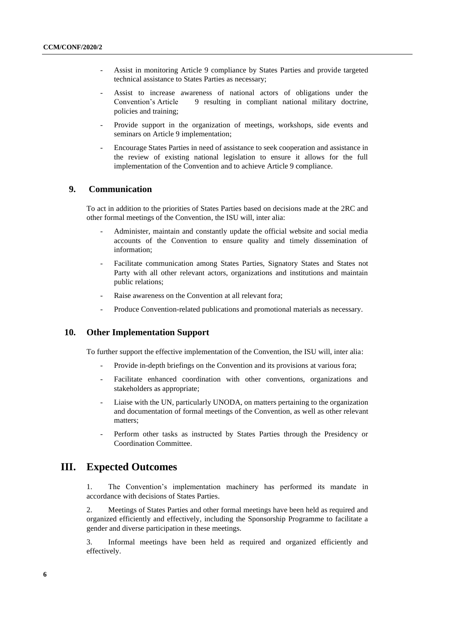- Assist in monitoring Article 9 compliance by States Parties and provide targeted technical assistance to States Parties as necessary;
- Assist to increase awareness of national actors of obligations under the Convention's Article 9 resulting in compliant national military doctrine, policies and training;
- Provide support in the organization of meetings, workshops, side events and seminars on Article 9 implementation;
- Encourage States Parties in need of assistance to seek cooperation and assistance in the review of existing national legislation to ensure it allows for the full implementation of the Convention and to achieve Article 9 compliance.

#### **9. Communication**

To act in addition to the priorities of States Parties based on decisions made at the 2RC and other formal meetings of the Convention, the ISU will, inter alia:

- Administer, maintain and constantly update the official website and social media accounts of the Convention to ensure quality and timely dissemination of information;
- Facilitate communication among States Parties, Signatory States and States not Party with all other relevant actors, organizations and institutions and maintain public relations;
- Raise awareness on the Convention at all relevant fora;
- Produce Convention-related publications and promotional materials as necessary.

#### **10. Other Implementation Support**

To further support the effective implementation of the Convention, the ISU will, inter alia:

- Provide in-depth briefings on the Convention and its provisions at various fora;
- Facilitate enhanced coordination with other conventions, organizations and stakeholders as appropriate;
- Liaise with the UN, particularly UNODA, on matters pertaining to the organization and documentation of formal meetings of the Convention, as well as other relevant matters;
- Perform other tasks as instructed by States Parties through the Presidency or Coordination Committee.

#### **III. Expected Outcomes**

1. The Convention's implementation machinery has performed its mandate in accordance with decisions of States Parties.

2. Meetings of States Parties and other formal meetings have been held as required and organized efficiently and effectively, including the Sponsorship Programme to facilitate a gender and diverse participation in these meetings.

3. Informal meetings have been held as required and organized efficiently and effectively.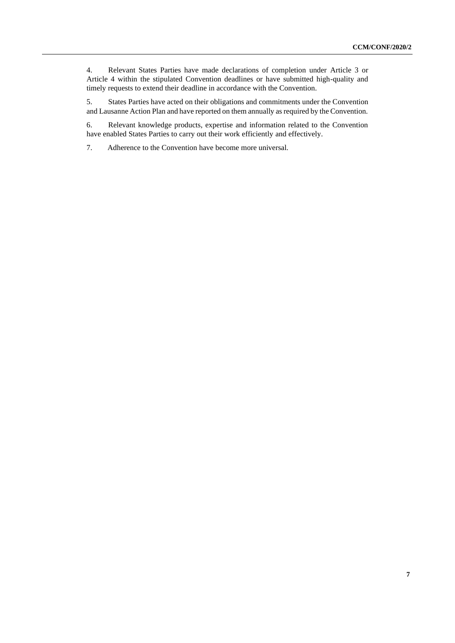4. Relevant States Parties have made declarations of completion under Article 3 or Article 4 within the stipulated Convention deadlines or have submitted high-quality and timely requests to extend their deadline in accordance with the Convention.

5. States Parties have acted on their obligations and commitments under the Convention and Lausanne Action Plan and have reported on them annually as required by the Convention.

6. Relevant knowledge products, expertise and information related to the Convention have enabled States Parties to carry out their work efficiently and effectively.

7. Adherence to the Convention have become more universal.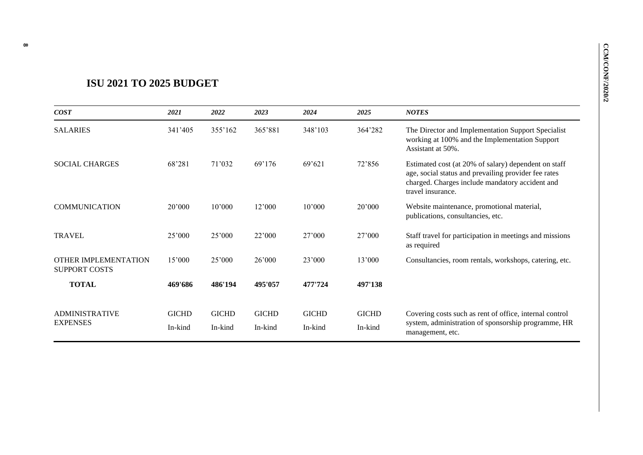# **ISU 2021 TO 2025 BUDGET**

| COST                                                | 2021                    | 2022                    | 2023                    | 2024                    | 2025                    | <b>NOTES</b>                                                                                                                                                                         |
|-----------------------------------------------------|-------------------------|-------------------------|-------------------------|-------------------------|-------------------------|--------------------------------------------------------------------------------------------------------------------------------------------------------------------------------------|
| <b>SALARIES</b>                                     | 341'405                 | 355'162                 | 365'881                 | 348'103                 | 364'282                 | The Director and Implementation Support Specialist<br>working at 100% and the Implementation Support<br>Assistant at 50%.                                                            |
| <b>SOCIAL CHARGES</b>                               | 68'281                  | 71'032                  | 69'176                  | 69'621                  | 72'856                  | Estimated cost (at 20% of salary) dependent on staff<br>age, social status and prevailing provider fee rates<br>charged. Charges include mandatory accident and<br>travel insurance. |
| <b>COMMUNICATION</b>                                | 20'000                  | 10'000                  | 12'000                  | 10'000                  | 20'000                  | Website maintenance, promotional material,<br>publications, consultancies, etc.                                                                                                      |
| <b>TRAVEL</b>                                       | 25'000                  | 25'000                  | 22'000                  | 27'000                  | 27'000                  | Staff travel for participation in meetings and missions<br>as required                                                                                                               |
| <b>OTHER IMPLEMENTATION</b><br><b>SUPPORT COSTS</b> | 15'000                  | 25'000                  | 26'000                  | 23'000                  | 13'000                  | Consultancies, room rentals, workshops, catering, etc.                                                                                                                               |
| <b>TOTAL</b>                                        | 469'686                 | 486'194                 | 495'057                 | 477'724                 | 497'138                 |                                                                                                                                                                                      |
| <b>ADMINISTRATIVE</b><br><b>EXPENSES</b>            | <b>GICHD</b><br>In-kind | <b>GICHD</b><br>In-kind | <b>GICHD</b><br>In-kind | <b>GICHD</b><br>In-kind | <b>GICHD</b><br>In-kind | Covering costs such as rent of office, internal control<br>system, administration of sponsorship programme, HR<br>management, etc.                                                   |